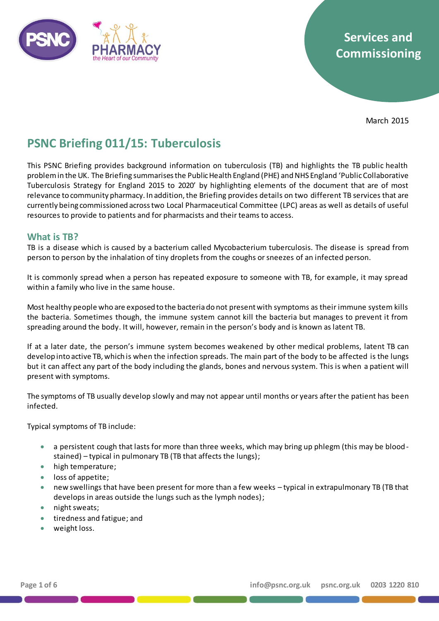

# **Services and Commissioning**

March 2015

# **PSNC Briefing 011/15: Tuberculosis**

This PSNC Briefing provides background information on tuberculosis (TB) and highlights the TB public health problem in the UK. The Briefing summarises the Public Health England (PHE) and NHS England 'Public Collaborative Tuberculosis Strategy for England 2015 to 2020' by highlighting elements of the document that are of most relevance to community pharmacy. In addition, the Briefing provides details on two different TB services that are currently being commissioned across two Local Pharmaceutical Committee (LPC) areas as well as details of useful resources to provide to patients and for pharmacists and their teams to access.

## **What is TB?**

TB is a disease which is caused by a bacterium called Mycobacterium tuberculosis. The disease is spread from person to person by the inhalation of tiny droplets from the coughs or sneezes of an infected person.

It is commonly spread when a person has repeated exposure to someone with TB, for example, it may spread within a family who live in the same house.

Most healthy people who are exposed to the bacteria do not present with symptoms as their immune system kills the bacteria. Sometimes though, the immune system cannot kill the bacteria but manages to prevent it from spreading around the body. It will, however, remain in the person's body and is known as latent TB.

If at a later date, the person's immune system becomes weakened by other medical problems, latent TB can develop into active TB, which is when the infection spreads. The main part of the body to be affected is the lungs but it can affect any part of the body including the glands, bones and nervous system. This is when a patient will present with symptoms.

The symptoms of TB usually develop slowly and may not appear until months or years after the patient has been infected.

Typical symptoms of TB include:

- a persistent cough that lasts for more than three weeks, which may bring up phlegm (this may be bloodstained) – typical in pulmonary TB (TB that affects the lungs);
- high temperature;
- loss of appetite;
- new swellings that have been present for more than a few weeks typical in extrapulmonary TB (TB that develops in areas outside the lungs such as the lymph nodes);
- night sweats;
- **•** tiredness and fatigue; and
- weight loss.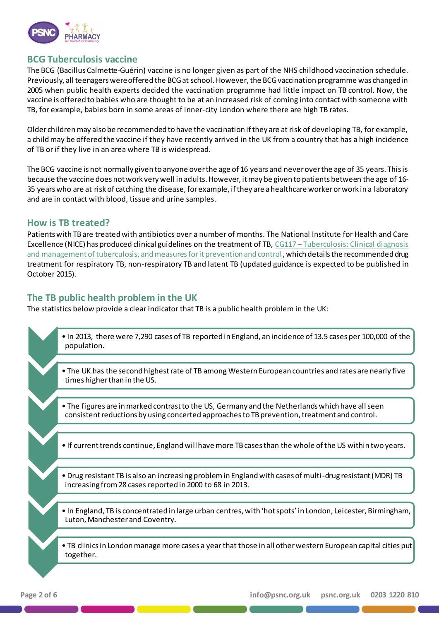

# **BCG Tuberculosis vaccine**

The BCG (Bacillus Calmette-Guérin) vaccine is no longer given as part of the NHS childhood vaccination schedule. Previously, all teenagers were offered the BCG at school. However, the BCG vaccination programme was changed in 2005 when public health experts decided the vaccination programme had little impact on TB control. Now, the vaccine is offered to babies who are thought to be at an increased risk of coming into contact with someone with TB, for example, babies born in some areas of inner-city London where there are high TB rates.

Older children may also be recommended to have the vaccination if they are at risk of developing TB, for example, a childmay be offered the vaccine if they have recently arrived in the UK from a country that has a high incidence of TB or if they live in an area where TB is widespread.

The BCG vaccine is not normally given to anyone over the age of 16 years and never over the age of 35 years. This is because the vaccine does not work very well in adults. However, it may be given to patients between the age of 16- 35 years who are at risk of catching the disease, for example, if they are a healthcare worker or work in a laboratory and are in contact with blood, tissue and urine samples.

### **How is TB treated?**

Patients with TB are treated with antibiotics over a number of months. The National Institute for Health and Care Excellence (NICE) has produced clinical guidelines on the treatment of TB, CG117 – [Tuberculosis: Clinical diagnosis](https://www.nice.org.uk/guidance/cg117)  [and management of tuberculosis, and measures for it prevention and control,](https://www.nice.org.uk/guidance/cg117) which details the recommended drug treatment for respiratory TB, non-respiratory TB and latent TB (updated guidance is expected to be published in October 2015).

## **The TB public health problem in the UK**

The statistics below provide a clear indicator that TB is a public health problem in the UK:

| . In 2013, there were 7,290 cases of TB reported in England, an incidence of 13.5 cases per 100,000 of the<br>population.                                                                       |
|-------------------------------------------------------------------------------------------------------------------------------------------------------------------------------------------------|
|                                                                                                                                                                                                 |
| • The UK has the second highest rate of TB among Western European countries and rates are nearly five<br>times higher than in the US.                                                           |
|                                                                                                                                                                                                 |
| . The figures are in marked contrast to the US, Germany and the Netherlands which have all seen<br>consistent reductions by using concerted approaches to TB prevention, treatment and control. |
|                                                                                                                                                                                                 |
| • If current trends continue, England will have more TB cases than the whole of the US within two years.                                                                                        |
|                                                                                                                                                                                                 |
| . Drug resistant TB is also an increasing problem in England with cases of multi-drug resistant (MDR) TB<br>increasing from 28 cases reported in 2000 to 68 in 2013.                            |
|                                                                                                                                                                                                 |
| . In England, TB is concentrated in large urban centres, with 'hot spots' in London, Leicester, Birmingham,<br>Luton, Manchester and Coventry.                                                  |
|                                                                                                                                                                                                 |
| . TB clinics in London manage more cases a year that those in all other western European capital cities put<br>together.                                                                        |
|                                                                                                                                                                                                 |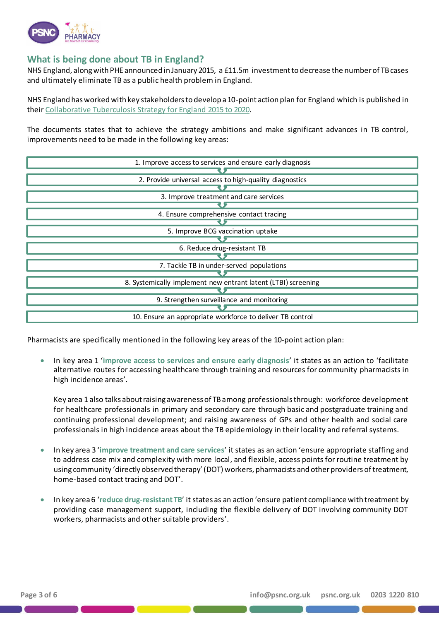

# **What is being done about TB in England?**

NHS England, along with PHE announced in January 2015, a £11.5m investment to decrease the number of TB cases and ultimately eliminate TB as a public health problem in England.

NHS England has worked with key stakeholders to develop a 10-point action plan for England which is published in their [Collaborative Tuberculosis Strategy for England](https://www.gov.uk/government/uploads/system/uploads/attachment_data/file/403231/Collaborative_TB_Strategy_for_England_2015_2020_.pdf) 2015 to 2020.

The documents states that to achieve the strategy ambitions and make significant advances in TB control, improvements need to be made in the following key areas:

| 1. Improve access to services and ensure early diagnosis      |
|---------------------------------------------------------------|
|                                                               |
| 2. Provide universal access to high-quality diagnostics       |
|                                                               |
| 3. Improve treatment and care services                        |
|                                                               |
| 4. Ensure comprehensive contact tracing                       |
|                                                               |
| 5. Improve BCG vaccination uptake                             |
|                                                               |
| 6. Reduce drug-resistant TB                                   |
|                                                               |
| 7. Tackle TB in under-served populations                      |
|                                                               |
| 8. Systemically implement new entrant latent (LTBI) screening |
|                                                               |
| 9. Strengthen surveillance and monitoring                     |
|                                                               |
| 10. Ensure an appropriate workforce to deliver TB control     |

Pharmacists are specifically mentioned in the following key areas of the 10-point action plan:

 In key area 1 '**improve access to services and ensure early diagnosis**' it states as an action to 'facilitate alternative routes for accessing healthcare through training and resources for community pharmacists in high incidence areas'.

Key area 1 also talks about raising awareness of TB among professionals through: workforce development for healthcare professionals in primary and secondary care through basic and postgraduate training and continuing professional development; and raising awareness of GPs and other health and social care professionals in high incidence areas about the TB epidemiology in their locality and referral systems.

- In key area 3 '**improve treatment and care services**' it states as an action 'ensure appropriate staffing and to address case mix and complexity with more local, and flexible, access points for routine treatment by using community 'directly observed therapy'(DOT) workers, pharmacists and other providers of treatment, home-based contact tracing and DOT'.
- In key area 6 '**reduce drug-resistant TB**' it states as an action 'ensure patient compliance with treatment by providing case management support, including the flexible delivery of DOT involving community DOT workers, pharmacists and other suitable providers'.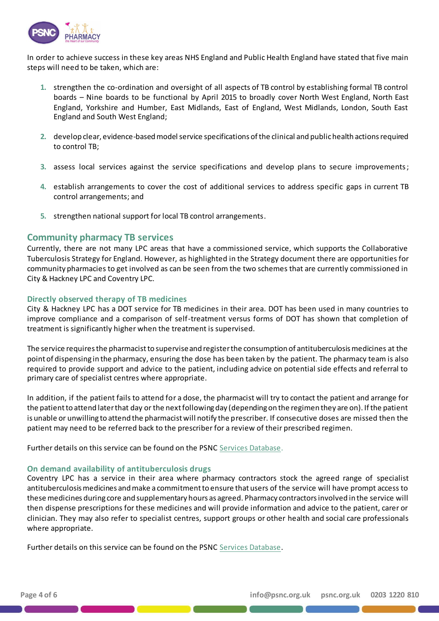

In order to achieve success in these key areas NHS England and Public Health England have stated that five main steps will need to be taken, which are:

- **1.** strengthen the co-ordination and oversight of all aspects of TB control by establishing formal TB control boards – Nine boards to be functional by April 2015 to broadly cover North West England, North East England, Yorkshire and Humber, East Midlands, East of England, West Midlands, London, South East England and South West England;
- **2.** develop clear, evidence-based model service specifications of the clinical and public health actions required to control TB;
- **3.** assess local services against the service specifications and develop plans to secure improvements;
- **4.** establish arrangements to cover the cost of additional services to address specific gaps in current TB control arrangements; and
- **5.** strengthen national support for local TB control arrangements.

#### **Community pharmacy TB services**

Currently, there are not many LPC areas that have a commissioned service, which supports the Collaborative Tuberculosis Strategy for England. However, as highlighted in the Strategy document there are opportunities for community pharmacies to get involved as can be seen from the two schemes that are currently commissioned in City & Hackney LPC and Coventry LPC.

#### **Directly observed therapy of TB medicines**

City & Hackney LPC has a DOT service for TB medicines in their area. DOT has been used in many countries to improve compliance and a comparison of self-treatment versus forms of DOT has shown that completion of treatment is significantly higher when the treatment is supervised.

The service requires the pharmacist to supervise and register the consumption of antituberculosis medicines at the point of dispensing in the pharmacy, ensuring the dose has been taken by the patient. The pharmacy team is also required to provide support and advice to the patient, including advice on potential side effects and referral to primary care of specialist centres where appropriate.

In addition, if the patient fails to attend for a dose, the pharmacist will try to contact the patient and arrange for the patient to attend later that day or the next following day (depending on the regimen they are on). If the patient is unable or unwilling to attend the pharmacist will notify the prescriber. If consecutive doses are missed then the patient may need to be referred back to the prescriber for a review of their prescribed regimen.

Further details on this service can be found on the PS[NC Services Databas](http://psnc.org.uk/service-search-results/?location-of-service=&type-of-service=425&method-of-commissioning=&funding-source=&wqsfsubmit=Search)e.

#### **On demand availability of antituberculosis drugs**

Coventry LPC has a service in their area where pharmacy contractors stock the agreed range of specialist antituberculosis medicines and make a commitment to ensure that users of the service will have prompt access to these medicines during core and supplementary hours as agreed. Pharmacy contractors involved in the service will then dispense prescriptions for these medicines and will provide information and advice to the patient, carer or clinician. They may also refer to specialist centres, support groups or other health and social care professionals where appropriate.

Further details on this service can be found on the PS[NC Services Databas](http://psnc.org.uk/service-search-results/?location-of-service=&type-of-service=411&method-of-commissioning=&funding-source=&wqsfsubmit=Filter)e.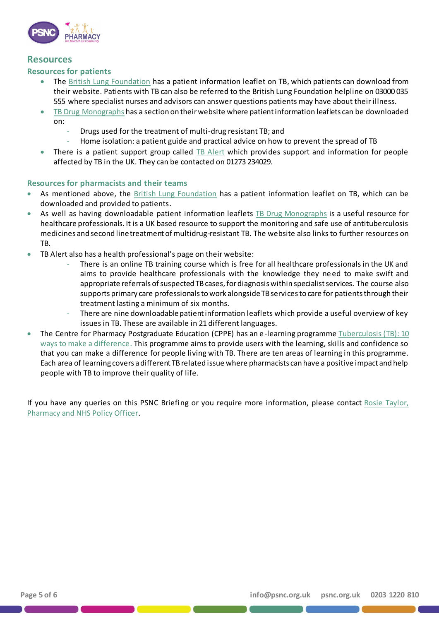

### **Resources**

#### **Resources for patients**

- The [British Lung Foundation](https://cdn.shopify.com/s/files/1/0221/4446/files/FL28_TB_2014_v2.pdf?7415) has a patient information leaflet on TB, which patients can download from their website. Patients with TB can also be referred to the British Lung Foundation helpline on 03000 035 555 where specialist nurses and advisors can answer questions patients may have about their illness.
- [TB Drug Monographs](http://www.tbdrugmonographs.co.uk/for-patients.htmlhttp:/www.tbdrugmonographs.co.uk/for-patients.html) has a section on their website where patient information leaflets can be downloaded on:
	- Drugs used for the treatment of multi-drug resistant TB; and
	- Home isolation: a patient guide and practical advice on how to prevent the spread of TB
- There is a patient support group called [TB Alert](http://www.tbalert.org/what-we-do/uk/patient-support/) which provides support and information for people affected by TB in the UK. They can be contacted on 01273 234029.

#### **Resources for pharmacists and their teams**

- As mentioned above, th[e British Lung Foundation](https://cdn.shopify.com/s/files/1/0221/4446/files/FL28_TB_2014_v2.pdf?7415) has a patient information leaflet on TB, which can be downloaded and provided to patients.
- As well as having downloadable patient information leafle[ts TB Drug Monographs](http://www.tbdrugmonographs.co.uk/) is a useful resource for healthcare professionals. It is a UK based resource to support the monitoring and safe use of antituberculosis medicines and second line treatment of multidrug-resistant TB. The website also links to further resources on TB.
- TB Alert also has a health professional's page on their website:
	- There is an online TB training course which is free for all healthcare professionals in the UK and aims to provide healthcare professionals with the knowledge they ne ed to make swift and appropriate referrals of suspected TB cases, for diagnosis within specialist services. The course also supports primary care professionals to work alongside TB services to care for patients through their treatment lasting a minimum of six months.
	- There are nine downloadable patient information leaflets which provide a useful overview of key issues in TB. These are available in 21 different languages.
- The Centre for Pharmacy Postgraduate Education (CPPE) has an e-learning programme Tuberculosis (TB): 10 [ways to make a difference.](https://www.cppe.ac.uk/programmes/l/tuberculos-e-01) This programme aims to provide users with the learning, skills and confidence so that you can make a difference for people living with TB. There are ten areas of learning in this programme. Each area of learning covers a different TB related issue where pharmacists can have a positive impact and help people with TB to improve their quality of life.

If you have any queries on this PSNC Briefing or you require more information, please contact [Rosie Taylor,](mailto:Rosie.Taylor@psnc.org.uk)  [Pharmacy and NHS Policy Officer](mailto:Rosie.Taylor@psnc.org.uk).